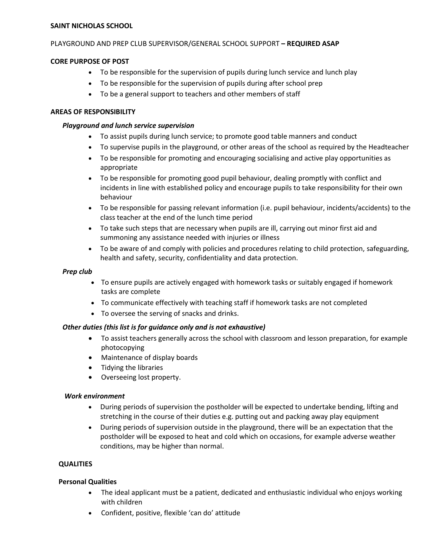#### **SAINT NICHOLAS SCHOOL**

### PLAYGROUND AND PREP CLUB SUPERVISOR/GENERAL SCHOOL SUPPORT **– REQUIRED ASAP**

### **CORE PURPOSE OF POST**

- To be responsible for the supervision of pupils during lunch service and lunch play
- To be responsible for the supervision of pupils during after school prep
- To be a general support to teachers and other members of staff

### **AREAS OF RESPONSIBILITY**

### *Playground and lunch service supervision*

- To assist pupils during lunch service; to promote good table manners and conduct
- To supervise pupils in the playground, or other areas of the school as required by the Headteacher
- To be responsible for promoting and encouraging socialising and active play opportunities as appropriate
- To be responsible for promoting good pupil behaviour, dealing promptly with conflict and incidents in line with established policy and encourage pupils to take responsibility for their own behaviour
- To be responsible for passing relevant information (i.e. pupil behaviour, incidents/accidents) to the class teacher at the end of the lunch time period
- To take such steps that are necessary when pupils are ill, carrying out minor first aid and summoning any assistance needed with injuries or illness
- To be aware of and comply with policies and procedures relating to child protection, safeguarding, health and safety, security, confidentiality and data protection.

## *Prep club*

- To ensure pupils are actively engaged with homework tasks or suitably engaged if homework tasks are complete
- To communicate effectively with teaching staff if homework tasks are not completed
- To oversee the serving of snacks and drinks.

## *Other duties (this list is for guidance only and is not exhaustive)*

- To assist teachers generally across the school with classroom and lesson preparation, for example photocopying
- Maintenance of display boards
- Tidying the libraries
- Overseeing lost property.

#### *Work environment*

- During periods of supervision the postholder will be expected to undertake bending, lifting and stretching in the course of their duties e.g. putting out and packing away play equipment
- During periods of supervision outside in the playground, there will be an expectation that the postholder will be exposed to heat and cold which on occasions, for example adverse weather conditions, may be higher than normal.

## **QUALITIES**

## **Personal Qualities**

- The ideal applicant must be a patient, dedicated and enthusiastic individual who enjoys working with children
- Confident, positive, flexible 'can do' attitude